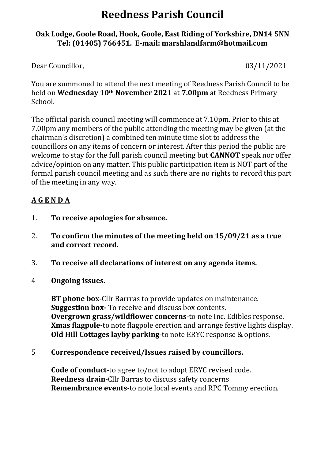# **Reedness Parish Council**

## **Oak Lodge, Goole Road, Hook, Goole, East Riding of Yorkshire, DN14 5NN Tel: (01405) 766451. E-mail: [marshlandfarm@hotmail.com](mailto:marshlandfarm@hotmail.com)**

Dear Councillor,  $03/11/2021$ 

You are summoned to attend the next meeting of Reedness Parish Council to be held on **Wednesday 10th November 2021** at **7.00pm** at Reedness Primary School.

The official parish council meeting will commence at 7.10pm. Prior to this at 7.00pm any members of the public attending the meeting may be given (at the chairman's discretion) a combined ten minute time slot to address the councillors on any items of concern or interest. After this period the public are welcome to stay for the full parish council meeting but **CANNOT** speak nor offer advice/opinion on any matter. This public participation item is NOT part of the formal parish council meeting and as such there are no rights to record this part of the meeting in any way.

# **A G E N D A**

- 1. **To receive apologies for absence.**
- 2. **To confirm the minutes of the meeting held on 15/09/21 as a true and correct record.**
- 3. **To receive all declarations of interest on any agenda items.**
- 4 **Ongoing issues.**

**BT phone box**-Cllr Barrras to provide updates on maintenance. **Suggestion box-** To receive and discuss box contents. **Overgrown grass/wildflower concerns**-to note Inc. Edibles response. **Xmas flagpole-**to note flagpole erection and arrange festive lights display. **Old Hill Cottages layby parking**-to note ERYC response & options.

5 **Correspondence received/Issues raised by councillors.**

**Code of conduct-**to agree to/not to adopt ERYC revised code. **Reedness drain**-Cllr Barras to discuss safety concerns **Remembrance events-**to note local events and RPC Tommy erection.